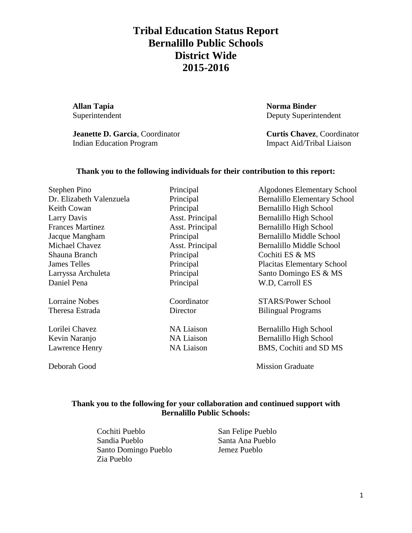**Allan Tapia Norma Binder**

**Jeanette D. Garcia**, Coordinator **Curtis Chavez**, Coordinator Indian Education Program Impact Aid/Tribal Liaison

Superintendent Deputy Superintendent

### **Thank you to the following individuals for their contribution to this report:**

| Stephen Pino             | Principal         | <b>Algodones Elementary School</b>  |
|--------------------------|-------------------|-------------------------------------|
| Dr. Elizabeth Valenzuela | Principal         | <b>Bernalillo Elementary School</b> |
| Keith Cowan              | Principal         | Bernalillo High School              |
| Larry Davis              | Asst. Principal   | Bernalillo High School              |
| <b>Frances Martinez</b>  | Asst. Principal   | Bernalillo High School              |
| Jacque Mangham           | Principal         | <b>Bernalillo Middle School</b>     |
| <b>Michael Chavez</b>    | Asst. Principal   | Bernalillo Middle School            |
| Shauna Branch            | Principal         | Cochiti ES & MS                     |
| <b>James Telles</b>      | Principal         | <b>Placitas Elementary School</b>   |
| Larryssa Archuleta       | Principal         | Santo Domingo ES & MS               |
| Daniel Pena              | Principal         | W.D, Carroll ES                     |
| <b>Lorraine Nobes</b>    | Coordinator       | <b>STARS/Power School</b>           |
| Theresa Estrada          | Director          | <b>Bilingual Programs</b>           |
| Lorilei Chavez           | <b>NA Liaison</b> | Bernalillo High School              |
| Kevin Naranjo            | <b>NA Liaison</b> | Bernalillo High School              |
| Lawrence Henry           | <b>NA Liaison</b> | BMS, Cochiti and SD MS              |
|                          |                   |                                     |

Deborah Good Mission Graduate

#### **Thank you to the following for your collaboration and continued support with Bernalillo Public Schools:**

Cochiti Pueblo San Felipe Pueblo Sandia Pueblo Santa Ana Pueblo Santo Domingo Pueblo Jemez Pueblo Zia Pueblo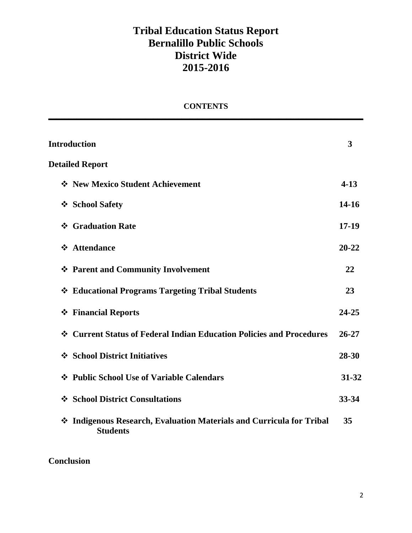### **CONTENTS \_\_\_\_\_\_\_\_\_\_\_\_\_\_\_\_\_\_\_\_\_\_\_\_\_\_\_\_\_\_\_\_\_\_\_\_\_\_\_\_\_\_\_\_\_\_\_\_\_\_\_\_\_\_\_\_\_\_\_\_\_\_\_\_\_\_\_\_\_\_\_\_\_\_\_\_\_\_**

| <b>Introduction</b>                                                                        | 3         |
|--------------------------------------------------------------------------------------------|-----------|
| <b>Detailed Report</b>                                                                     |           |
| ❖ New Mexico Student Achievement                                                           | $4 - 13$  |
| ❖ School Safety                                                                            | $14-16$   |
| ❖ Graduation Rate                                                                          | $17-19$   |
| ❖ Attendance                                                                               | $20 - 22$ |
| ❖ Parent and Community Involvement                                                         | 22        |
| ❖ Educational Programs Targeting Tribal Students                                           | 23        |
| ❖ Financial Reports                                                                        | $24 - 25$ |
| ❖ Current Status of Federal Indian Education Policies and Procedures                       | $26 - 27$ |
| ❖ School District Initiatives                                                              | 28-30     |
| ❖ Public School Use of Variable Calendars                                                  | 31-32     |
| ❖ School District Consultations                                                            | 33-34     |
| Indigenous Research, Evaluation Materials and Curricula for Tribal<br>❖<br><b>Students</b> | 35        |

**Conclusion**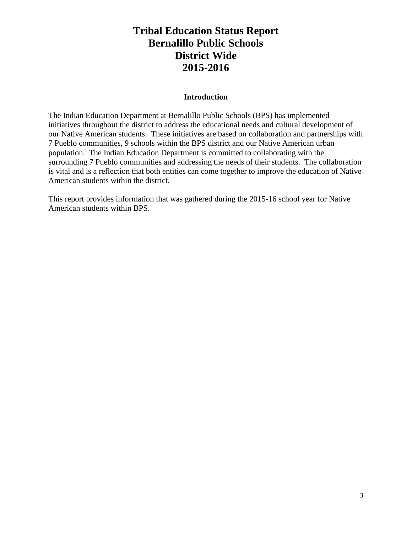#### **Introduction**

The Indian Education Department at Bernalillo Public Schools (BPS) has implemented initiatives throughout the district to address the educational needs and cultural development of our Native American students. These initiatives are based on collaboration and partnerships with 7 Pueblo communities, 9 schools within the BPS district and our Native American urban population. The Indian Education Department is committed to collaborating with the surrounding 7 Pueblo communities and addressing the needs of their students. The collaboration is vital and is a reflection that both entities can come together to improve the education of Native American students within the district.

This report provides information that was gathered during the 2015-16 school year for Native American students within BPS.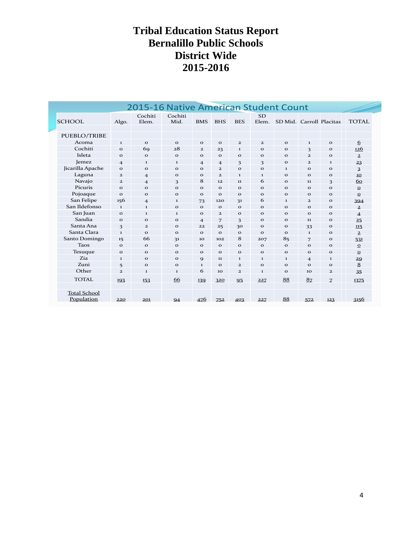|                                   |                | 2015-16 Native American Student Count |                 |                |                |                |                    |                          |                |               | F               |
|-----------------------------------|----------------|---------------------------------------|-----------------|----------------|----------------|----------------|--------------------|--------------------------|----------------|---------------|-----------------|
| <b>SCHOOL</b>                     | Algo.          | Cochiti<br>Elem.                      | Cochiti<br>Mid. | <b>BMS</b>     | <b>BHS</b>     | <b>BES</b>     | <b>SD</b><br>Elem. | SD Mid. Carroll Placitas |                |               | <b>TOTAL</b>    |
| PUEBLO/TRIBE                      |                |                                       |                 |                |                |                |                    |                          |                |               |                 |
| Acoma                             | $\mathbf{I}$   | $\mathbf{o}$                          | $\mathbf{o}$    | $\mathbf{o}$   | $\mathbf{o}$   | $\overline{2}$ | $\mathbf{2}$       | $\mathbf{o}$             | $\mathbf{I}$   | $\mathbf{o}$  | 6               |
| Cochiti                           | $\mathbf{o}$   | 69                                    | 28              | $\mathbf{2}$   | 23             | $\bf{1}$       | $\mathbf{o}$       | $\mathbf{o}$             | 3              | $\mathbf{o}$  | <u>126</u>      |
| Isleta                            | $\mathbf{o}$   | $\mathbf{o}$                          | $\mathbf{o}$    | $\mathbf{o}$   | $\mathbf{o}$   | $\mathbf{o}$   | $\mathbf{o}$       | $\mathbf{o}$             | $\mathbf{z}$   | $\mathbf{o}$  | $\overline{2}$  |
| Jemez                             | $\overline{4}$ | $\mathbf{I}$                          | $\mathbf{1}$    | $\overline{4}$ | $\overline{4}$ | 3              | 3                  | $\mathbf{o}$             | $\overline{2}$ | 1             | 23              |
| Jicarilla Apache                  | $\mathbf{o}$   | $\mathbf{o}$                          | $\mathbf{o}$    | $\mathbf{o}$   | $\overline{2}$ | $\mathbf{o}$   | $\mathbf{o}$       | $\mathbf{I}$             | $\mathbf{o}$   | $\mathbf{o}$  | $\overline{3}$  |
| Laguna                            | $\mathbf{2}$   | $\overline{4}$                        | $\mathbf{o}$    | $\mathbf{o}$   | $\mathbf{z}$   | $\mathbf{I}$   | $\mathbf{I}$       | $\Omega$                 | $\Omega$       | $\mathbf{o}$  | 10 <sub>1</sub> |
| Navajo                            | $\overline{2}$ | $\overline{4}$                        | 3               | 8              | 12             | 11             | 6                  | $\mathbf{o}$             | 11             | 3             | 60              |
| Picuris                           | $\mathbf{o}$   | $\mathbf{o}$                          | $\mathbf{o}$    | $\mathbf{o}$   | $\mathbf{o}$   | $\mathbf{o}$   | $\mathbf{o}$       | $\mathbf{o}$             | $\mathbf{o}$   | $\mathbf{o}$  | $\Omega$        |
| Pojoaque                          | $\mathbf{o}$   | $\mathbf{o}$                          | $\mathbf{o}$    | $\mathbf{o}$   | $\mathbf{o}$   | $\mathbf{o}$   | $\mathbf{o}$       | $\mathbf{o}$             | $\mathbf{o}$   | $\mathbf{o}$  | $\mathbf{o}$    |
| San Felipe                        | 156            | $\overline{4}$                        | 1               | 73             | 120            | 31             | 6                  | $\mathbf{I}$             | $\overline{2}$ | $\mathbf{o}$  | 394             |
| San Ildefonso                     | $\mathbf{I}$   | $\bf{1}$                              | $\mathbf{o}$    | $\mathbf{o}$   | $\mathbf{o}$   | $\mathbf{o}$   | $\mathbf{o}$       | $\mathbf{o}$             | $\mathbf{o}$   | $\mathbf{o}$  | $\overline{2}$  |
| San Juan                          | $\mathbf{o}$   | $\mathbf{I}$                          | $\mathbf{1}$    | $\mathbf{o}$   | $\overline{2}$ | $\mathbf{o}$   | $\mathbf{o}$       | $\mathbf{o}$             | $\mathbf{o}$   | $\mathbf{o}$  | $\overline{4}$  |
| Sandia                            | $\mathbf{o}$   | $\mathbf{o}$                          | $\mathbf{o}$    | $\overline{4}$ | 7              | 3              | $\mathbf{o}$       | $\mathbf{o}$             | 11             | $\mathbf{o}$  | 25              |
| Santa Ana                         | 3              | $\mathbf{2}$                          | $\mathbf{o}$    | 22             | 25             | 30             | $\mathbf{o}$       | $\mathbf{o}$             | 33             | $\mathbf{o}$  | 115             |
| Santa Clara                       | $\mathbf{I}$   | $\Omega$                              | $\mathbf{o}$    | $\mathbf{o}$   | $\Omega$       | $\mathbf{o}$   | $\mathbf{o}$       | $\Omega$                 | $\bf{1}$       | $\mathbf{o}$  | $\overline{a}$  |
| Santo Domingo                     | 15             | 66                                    | 31              | 10             | 102            | 8              | 207                | 85                       | 7              | $\mathbf{o}$  | 531             |
| <b>Taos</b>                       | $\Omega$       | $\mathbf{o}$                          | $\mathbf{o}$    | $\mathbf{o}$   | $\mathbf{o}$   | $\Omega$       | $\mathbf{o}$       | $\mathbf{o}$             | $\Omega$       | $\mathbf{o}$  | $\Omega$        |
| Tesuque                           | $\mathbf{o}$   | $\mathbf{o}$                          | $\mathbf{o}$    | $\mathbf{o}$   | $\mathbf{o}$   | $\mathbf{o}$   | $\mathbf{o}$       | $\mathbf{o}$             | $\mathbf{o}$   | $\mathbf{o}$  | $\mathbf{o}$    |
| Zia.                              | $\mathbf{1}$   | $\mathbf{o}$                          | $\mathbf{o}$    | 9              | 11             | $\mathbf{I}$   | $\mathbf{I}$       | $\mathbf{I}$             | $\overline{4}$ | $\mathbf{I}$  | 29              |
| Zuni                              | 5              | $\mathbf{o}$                          | $\mathbf{o}$    | $\mathbf{I}$   | $\mathbf{o}$   | $\overline{a}$ | $\mathbf{o}$       | $\mathbf{o}$             | $\mathbf{o}$   | $\mathbf{o}$  | 8               |
| Other                             | $\overline{2}$ | 1                                     | 1               | 6              | 10             | $\overline{a}$ | $\mathbf{I}$       | $\mathbf{o}$             | 10             | $\mathbf{z}$  | 35              |
| <b>TOTAL</b>                      | 193            | 153                                   | 66              | 139            | 320            | 95             | 227                | 88                       | 8 <sub>7</sub> | $\mathcal{I}$ | 1375            |
| <b>Total School</b><br>Population | 220            | 201                                   | 94              | 476            | 752            | 403            | 227                | 88                       | 572            | 123           | 3156            |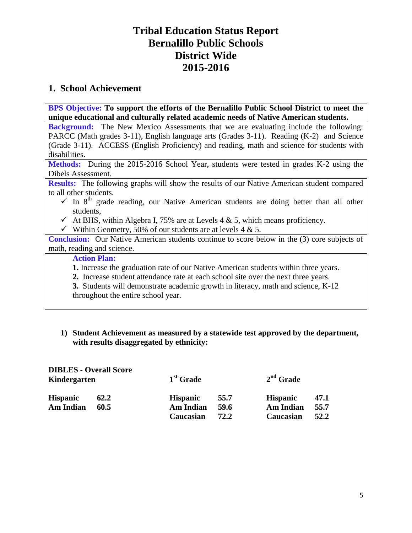## **1. School Achievement**

**BPS Objective: To support the efforts of the Bernalillo Public School District to meet the unique educational and culturally related academic needs of Native American students.**

**Background:** The New Mexico Assessments that we are evaluating include the following: PARCC (Math grades 3-11), English language arts (Grades 3-11). Reading (K-2) and Science (Grade 3-11). ACCESS (English Proficiency) and reading, math and science for students with disabilities.

**Methods:** During the 2015-2016 School Year, students were tested in grades K-2 using the Dibels Assessment.

**Results:** The following graphs will show the results of our Native American student compared to all other students.

- $\checkmark$  In 8<sup>th</sup> grade reading, our Native American students are doing better than all other students,
- $\checkmark$  At BHS, within Algebra I, 75% are at Levels 4 & 5, which means proficiency.
- $\checkmark$  Within Geometry, 50% of our students are at levels 4 & 5.

**Conclusion:** Our Native American students continue to score below in the (3) core subjects of math, reading and science.

### **Action Plan:**

- **1.** Increase the graduation rate of our Native American students within three years.
- **2.** Increase student attendance rate at each school site over the next three years.
- **3.** Students will demonstrate academic growth in literacy, math and science, K-12 throughout the entire school year.

### **1) Student Achievement as measured by a statewide test approved by the department, with results disaggregated by ethnicity:**

| <b>DIBLES - Overall Score</b><br>Kindergarten |      | 1 <sup>st</sup> Grade |      | $2nd$ Grade     |      |
|-----------------------------------------------|------|-----------------------|------|-----------------|------|
| <b>Hispanic</b>                               | 62.2 | <b>Hispanic</b>       | 55.7 | <b>Hispanic</b> | 47.1 |
| <b>Am Indian</b>                              | 60.5 | <b>Am Indian</b>      | 59.6 | Am Indian       | 55.7 |
|                                               |      | Caucasian             | 72.2 | Caucasian       | 52.2 |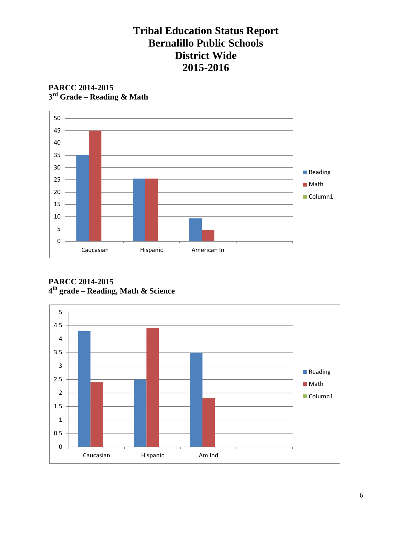**PARCC 2014-2015 3 rd Grade – Reading & Math**



**PARCC 2014-2015 4 th grade – Reading, Math & Science**

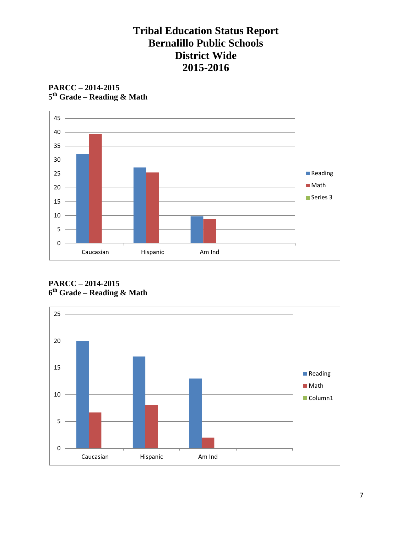



**PARCC – 2014-2015 6 th Grade – Reading & Math**

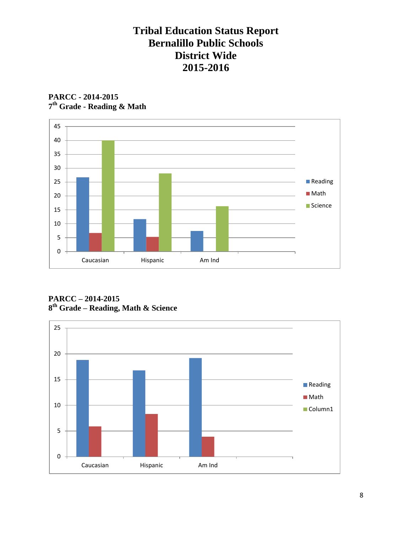

**PARCC - 2014-2015 7 th Grade - Reading & Math**

**PARCC – 2014-2015 8 th Grade – Reading, Math & Science**

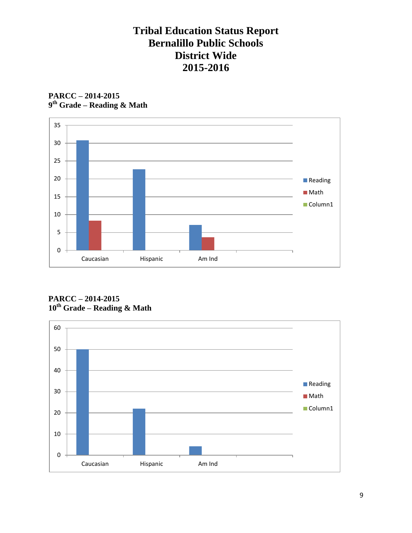



**PARCC – 2014-2015 10th Grade – Reading & Math**

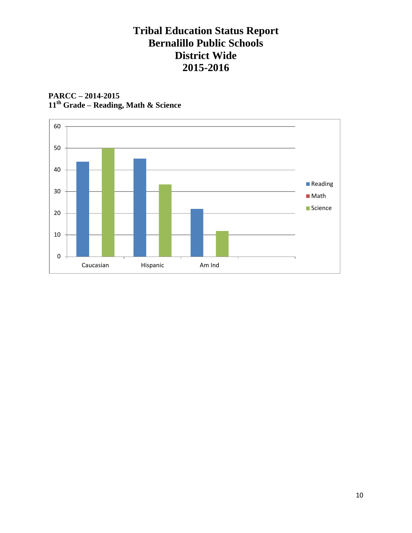### **PARCC – 2014-2015 11th Grade – Reading, Math & Science**

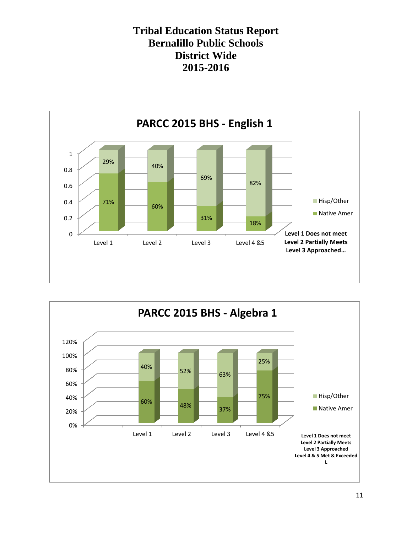

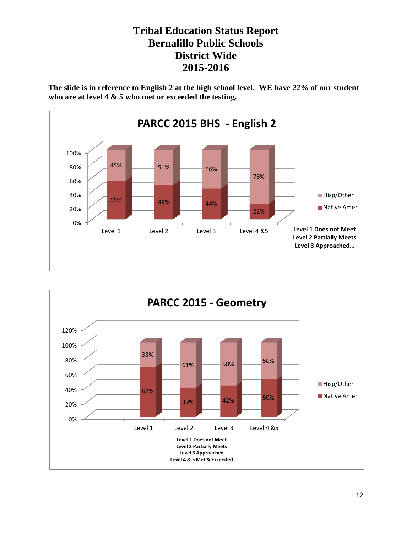**The slide is in reference to English 2 at the high school level. WE have 22% of our student who are at level 4 & 5 who met or exceeded the testing.**



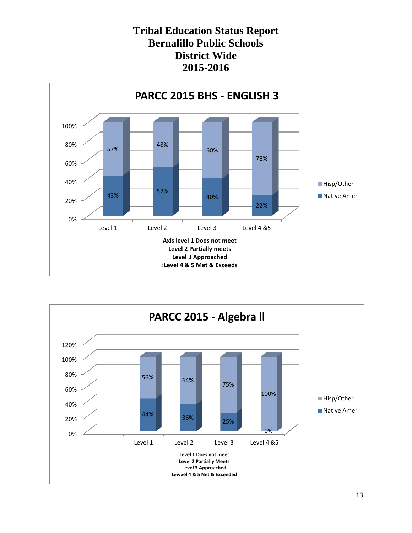

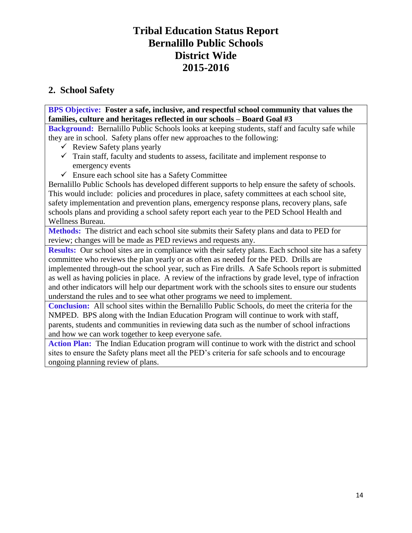## **2. School Safety**

**BPS Objective: Foster a safe, inclusive, and respectful school community that values the families, culture and heritages reflected in our schools – Board Goal #3**

**Background:** Bernalillo Public Schools looks at keeping students, staff and faculty safe while they are in school. Safety plans offer new approaches to the following:

- $\checkmark$  Review Safety plans yearly
- $\checkmark$  Train staff, faculty and students to assess, facilitate and implement response to emergency events
- $\checkmark$  Ensure each school site has a Safety Committee

Bernalillo Public Schools has developed different supports to help ensure the safety of schools. This would include: policies and procedures in place, safety committees at each school site, safety implementation and prevention plans, emergency response plans, recovery plans, safe schools plans and providing a school safety report each year to the PED School Health and Wellness Bureau.

**Methods:** The district and each school site submits their Safety plans and data to PED for review; changes will be made as PED reviews and requests any.

**Results:** Our school sites are in compliance with their safety plans. Each school site has a safety committee who reviews the plan yearly or as often as needed for the PED. Drills are implemented through-out the school year, such as Fire drills. A Safe Schools report is submitted as well as having policies in place. A review of the infractions by grade level, type of infraction and other indicators will help our department work with the schools sites to ensure our students understand the rules and to see what other programs we need to implement.

**Conclusion:** All school sites within the Bernalillo Public Schools, do meet the criteria for the NMPED. BPS along with the Indian Education Program will continue to work with staff, parents, students and communities in reviewing data such as the number of school infractions and how we can work together to keep everyone safe.

**Action Plan:** The Indian Education program will continue to work with the district and school sites to ensure the Safety plans meet all the PED's criteria for safe schools and to encourage ongoing planning review of plans.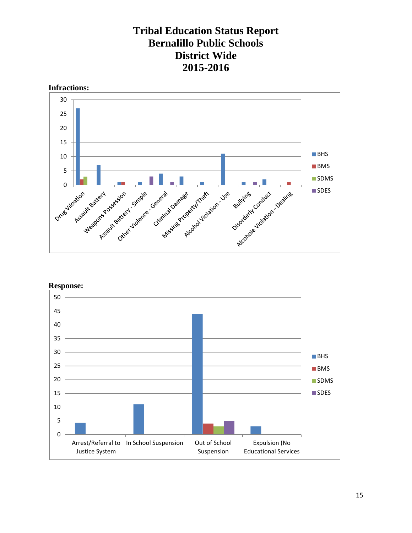



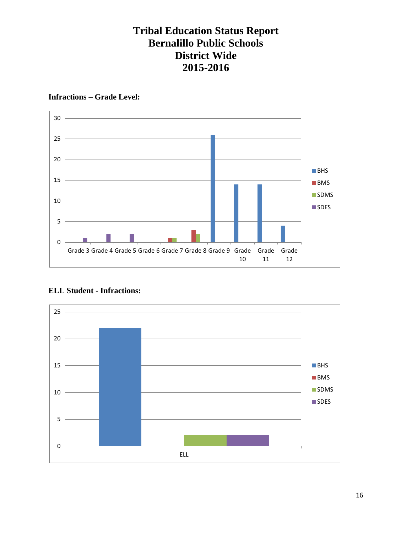#### **Infractions – Grade Level:**



### **ELL Student - Infractions:**

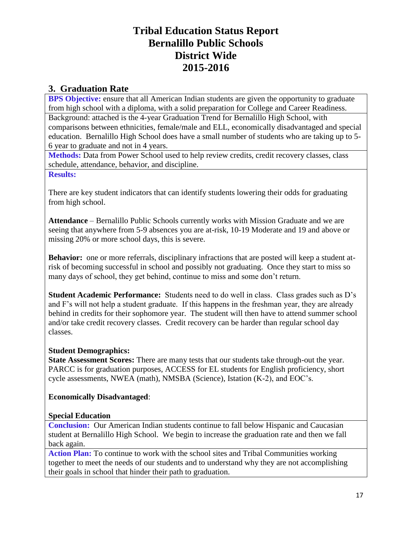### **3. Graduation Rate**

**BPS Objective:** ensure that all American Indian students are given the opportunity to graduate from high school with a diploma, with a solid preparation for College and Career Readiness. Background: attached is the 4-year Graduation Trend for Bernalillo High School, with comparisons between ethnicities, female/male and ELL, economically disadvantaged and special education. Bernalillo High School does have a small number of students who are taking up to 5- 6 year to graduate and not in 4 years.

**Methods:** Data from Power School used to help review credits, credit recovery classes, class schedule, attendance, behavior, and discipline.

**Results:** 

There are key student indicators that can identify students lowering their odds for graduating from high school.

**Attendance** – Bernalillo Public Schools currently works with Mission Graduate and we are seeing that anywhere from 5-9 absences you are at-risk, 10-19 Moderate and 19 and above or missing 20% or more school days, this is severe.

**Behavior:** one or more referrals, disciplinary infractions that are posted will keep a student atrisk of becoming successful in school and possibly not graduating. Once they start to miss so many days of school, they get behind, continue to miss and some don't return.

**Student Academic Performance:** Students need to do well in class. Class grades such as D's and F's will not help a student graduate. If this happens in the freshman year, they are already behind in credits for their sophomore year. The student will then have to attend summer school and/or take credit recovery classes. Credit recovery can be harder than regular school day classes.

### **Student Demographics:**

**State Assessment Scores:** There are many tests that our students take through-out the year. PARCC is for graduation purposes, ACCESS for EL students for English proficiency, short cycle assessments, NWEA (math), NMSBA (Science), Istation (K-2), and EOC's.

### **Economically Disadvantaged**:

### **Special Education**

**Conclusion:** Our American Indian students continue to fall below Hispanic and Caucasian student at Bernalillo High School. We begin to increase the graduation rate and then we fall back again.

**Action Plan:** To continue to work with the school sites and Tribal Communities working together to meet the needs of our students and to understand why they are not accomplishing their goals in school that hinder their path to graduation.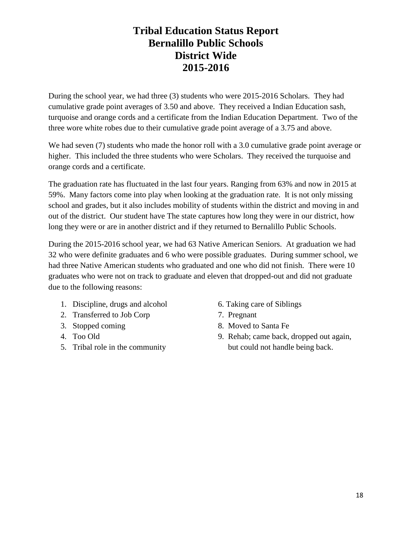During the school year, we had three (3) students who were 2015-2016 Scholars. They had cumulative grade point averages of 3.50 and above. They received a Indian Education sash, turquoise and orange cords and a certificate from the Indian Education Department. Two of the three wore white robes due to their cumulative grade point average of a 3.75 and above.

We had seven (7) students who made the honor roll with a 3.0 cumulative grade point average or higher. This included the three students who were Scholars. They received the turquoise and orange cords and a certificate.

The graduation rate has fluctuated in the last four years. Ranging from 63% and now in 2015 at 59%. Many factors come into play when looking at the graduation rate. It is not only missing school and grades, but it also includes mobility of students within the district and moving in and out of the district. Our student have The state captures how long they were in our district, how long they were or are in another district and if they returned to Bernalillo Public Schools.

During the 2015-2016 school year, we had 63 Native American Seniors. At graduation we had 32 who were definite graduates and 6 who were possible graduates. During summer school, we had three Native American students who graduated and one who did not finish. There were 10 graduates who were not on track to graduate and eleven that dropped-out and did not graduate due to the following reasons:

- 1. Discipline, drugs and alcohol 6. Taking care of Siblings
- 2. Transferred to Job Corp 7. Pregnant
- 
- 
- 
- 
- 
- 3. Stopped coming 8. Moved to Santa Fe
- 4. Too Old 9. Rehab; came back, dropped out again, 5. Tribal role in the community but could not handle being back.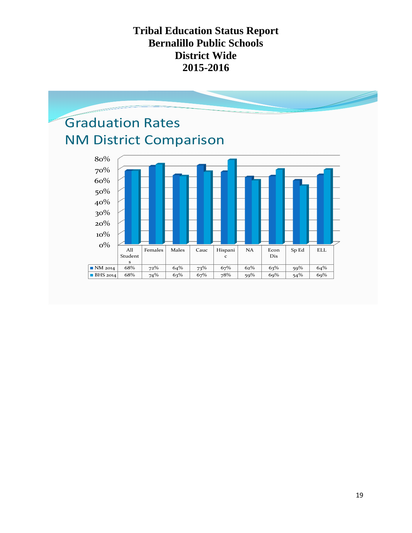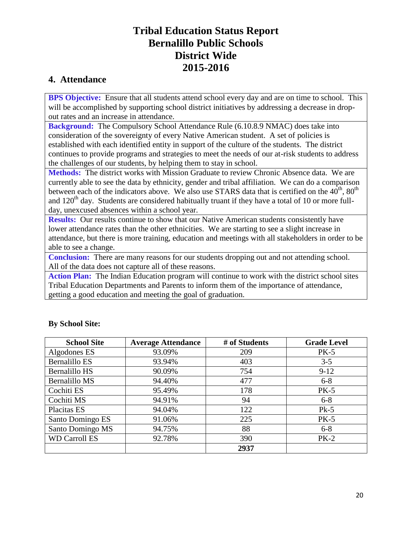## **4. Attendance**

**BPS Objective:** Ensure that all students attend school every day and are on time to school. This will be accomplished by supporting school district initiatives by addressing a decrease in dropout rates and an increase in attendance.

**Background:** The Compulsory School Attendance Rule (6.10.8.9 NMAC) does take into consideration of the sovereignty of every Native American student. A set of policies is established with each identified entity in support of the culture of the students. The district continues to provide programs and strategies to meet the needs of our at-risk students to address the challenges of our students, by helping them to stay in school.

**Methods:** The district works with Mission Graduate to review Chronic Absence data. We are currently able to see the data by ethnicity, gender and tribal affiliation. We can do a comparison between each of the indicators above. We also use STARS data that is certified on the  $40^{th}$ ,  $80^{th}$ and  $120<sup>th</sup>$  day. Students are considered habitually truant if they have a total of 10 or more fullday, unexcused absences within a school year.

**Results:** Our results continue to show that our Native American students consistently have lower attendance rates than the other ethnicities. We are starting to see a slight increase in attendance, but there is more training, education and meetings with all stakeholders in order to be able to see a change.

**Conclusion:** There are many reasons for our students dropping out and not attending school. All of the data does not capture all of these reasons.

Action Plan: The Indian Education program will continue to work with the district school sites Tribal Education Departments and Parents to inform them of the importance of attendance, getting a good education and meeting the goal of graduation.

| <b>School Site</b>   | <b>Average Attendance</b> | # of Students | <b>Grade Level</b> |
|----------------------|---------------------------|---------------|--------------------|
| Algodones ES         | 93.09%                    | 209           | $PK-5$             |
| <b>Bernalillo ES</b> | 93.94%                    | 403           | $3 - 5$            |
| Bernalillo HS        | 90.09%                    | 754           | $9-12$             |
| Bernalillo MS        | 94.40%                    | 477           | $6 - 8$            |
| Cochiti ES           | 95.49%                    | 178           | $PK-5$             |
| Cochiti MS           | 94.91%                    | 94            | $6 - 8$            |
| Placitas ES          | 94.04%                    | 122           | $Pk-5$             |
| Santo Domingo ES     | 91.06%                    | 225           | $PK-5$             |
| Santo Domingo MS     | 94.75%                    | 88            | $6 - 8$            |
| <b>WD Carroll ES</b> | 92.78%                    | 390           | $PK-2$             |
|                      |                           | 2937          |                    |

### **By School Site:**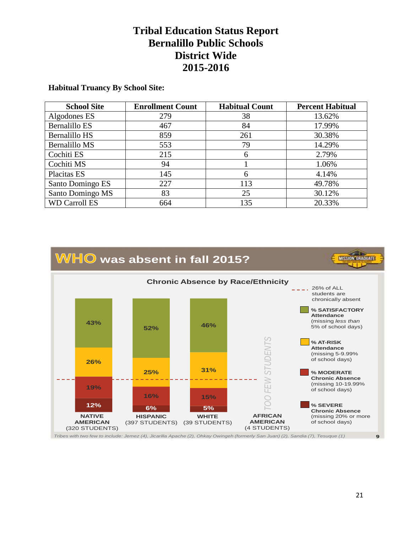#### **Habitual Truancy By School Site:**

| <b>School Site</b>   | <b>Enrollment Count</b> | <b>Habitual Count</b> | <b>Percent Habitual</b> |
|----------------------|-------------------------|-----------------------|-------------------------|
| Algodones ES         | 279                     | 38                    | 13.62%                  |
| Bernalillo ES        | 467                     | 84                    | 17.99%                  |
| Bernalillo HS        | 859                     | 261                   | 30.38%                  |
| <b>Bernalillo MS</b> | 553                     | 79                    | 14.29%                  |
| Cochiti ES           | 215                     | 6                     | 2.79%                   |
| Cochiti MS           | 94                      |                       | 1.06%                   |
| Placitas ES          | 145                     | 6                     | 4.14%                   |
| Santo Domingo ES     | 227                     | 113                   | 49.78%                  |
| Santo Domingo MS     | 83                      | 25                    | 30.12%                  |
| <b>WD Carroll ES</b> | 664                     | 135                   | 20.33%                  |

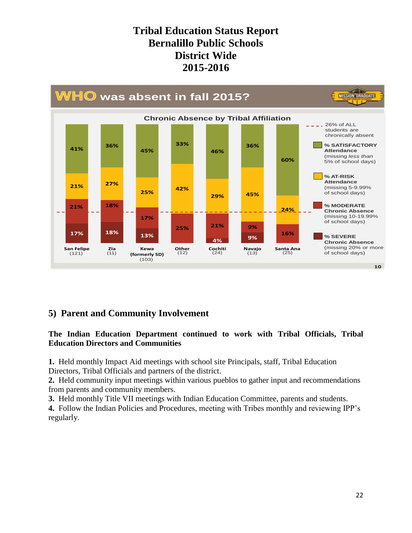

## **5) Parent and Community Involvement**

#### **The Indian Education Department continued to work with Tribal Officials, Tribal Education Directors and Communities**

**1.** Held monthly Impact Aid meetings with school site Principals, staff, Tribal Education Directors, Tribal Officials and partners of the district.

**2.** Held community input meetings within various pueblos to gather input and recommendations from parents and community members.

**3.** Held monthly Title VII meetings with Indian Education Committee, parents and students. **4.** Follow the Indian Policies and Procedures, meeting with Tribes monthly and reviewing IPP's regularly.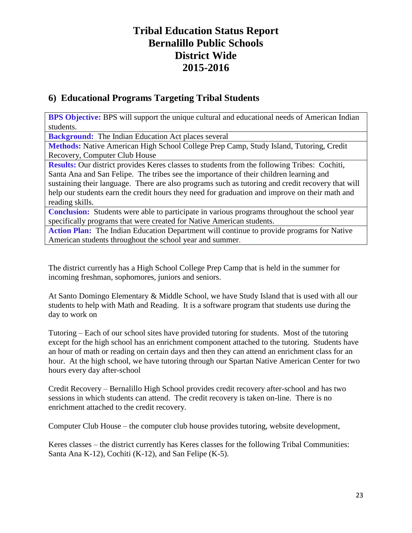## **6) Educational Programs Targeting Tribal Students**

**BPS Objective:** BPS will support the unique cultural and educational needs of American Indian students.

**Background:** The Indian Education Act places several

**Methods:** Native American High School College Prep Camp, Study Island, Tutoring, Credit Recovery, Computer Club House

**Results:** Our district provides Keres classes to students from the following Tribes: Cochiti, Santa Ana and San Felipe. The tribes see the importance of their children learning and sustaining their language. There are also programs such as tutoring and credit recovery that will help our students earn the credit hours they need for graduation and improve on their math and reading skills.

**Conclusion:** Students were able to participate in various programs throughout the school year specifically programs that were created for Native American students.

**Action Plan:** The Indian Education Department will continue to provide programs for Native American students throughout the school year and summer.

The district currently has a High School College Prep Camp that is held in the summer for incoming freshman, sophomores, juniors and seniors.

At Santo Domingo Elementary & Middle School, we have Study Island that is used with all our students to help with Math and Reading. It is a software program that students use during the day to work on

Tutoring – Each of our school sites have provided tutoring for students. Most of the tutoring except for the high school has an enrichment component attached to the tutoring. Students have an hour of math or reading on certain days and then they can attend an enrichment class for an hour. At the high school, we have tutoring through our Spartan Native American Center for two hours every day after-school

Credit Recovery – Bernalillo High School provides credit recovery after-school and has two sessions in which students can attend. The credit recovery is taken on-line. There is no enrichment attached to the credit recovery.

Computer Club House – the computer club house provides tutoring, website development,

Keres classes – the district currently has Keres classes for the following Tribal Communities: Santa Ana K-12), Cochiti (K-12), and San Felipe (K-5).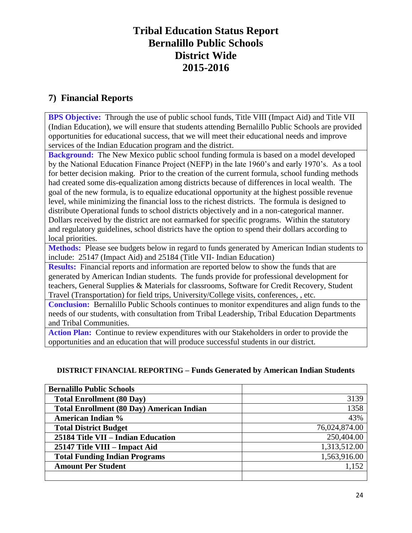## **7) Financial Reports**

**BPS Objective:** Through the use of public school funds, Title VIII (Impact Aid) and Title VII (Indian Education), we will ensure that students attending Bernalillo Public Schools are provided opportunities for educational success, that we will meet their educational needs and improve services of the Indian Education program and the district.

**Background:** The New Mexico public school funding formula is based on a model developed by the National Education Finance Project (NEFP) in the late 1960's and early 1970's. As a tool for better decision making. Prior to the creation of the current formula, school funding methods had created some dis-equalization among districts because of differences in local wealth. The goal of the new formula, is to equalize educational opportunity at the highest possible revenue level, while minimizing the financial loss to the richest districts. The formula is designed to distribute Operational funds to school districts objectively and in a non-categorical manner. Dollars received by the district are not earmarked for specific programs. Within the statutory and regulatory guidelines, school districts have the option to spend their dollars according to local priorities.

**Methods:** Please see budgets below in regard to funds generated by American Indian students to include: 25147 (Impact Aid) and 25184 (Title VII- Indian Education)

**Results:** Financial reports and information are reported below to show the funds that are generated by American Indian students. The funds provide for professional development for teachers, General Supplies & Materials for classrooms, Software for Credit Recovery, Student Travel (Transportation) for field trips, University/College visits, conferences, , etc.

**Conclusion:** Bernalillo Public Schools continues to monitor expenditures and align funds to the needs of our students, with consultation from Tribal Leadership, Tribal Education Departments and Tribal Communities.

**Action Plan:** Continue to review expenditures with our Stakeholders in order to provide the opportunities and an education that will produce successful students in our district.

### **DISTRICT FINANCIAL REPORTING – Funds Generated by American Indian Students**

| <b>Bernalillo Public Schools</b>                 |               |
|--------------------------------------------------|---------------|
| <b>Total Enrollment (80 Day)</b>                 | 3139          |
| <b>Total Enrollment (80 Day) American Indian</b> | 1358          |
| <b>American Indian %</b>                         | 43%           |
| <b>Total District Budget</b>                     | 76,024,874.00 |
| 25184 Title VII - Indian Education               | 250,404.00    |
| 25147 Title VIII – Impact Aid                    | 1,313,512.00  |
| <b>Total Funding Indian Programs</b>             | 1,563,916.00  |
| <b>Amount Per Student</b>                        | 1,152         |
|                                                  |               |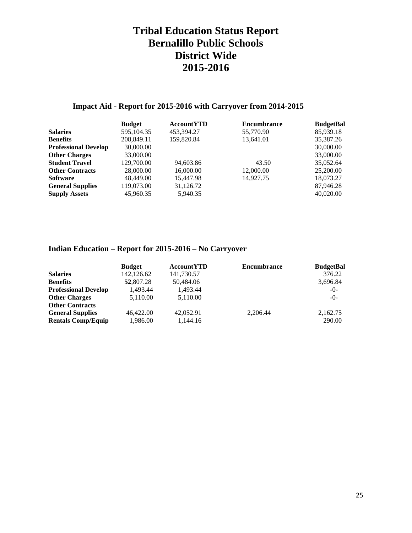### **Impact Aid - Report for 2015-2016 with Carryover from 2014-2015**

| <b>Budget</b> | <b>AccountYTD</b> | <b>Encumbrance</b> | <b>BudgetBal</b> |
|---------------|-------------------|--------------------|------------------|
| 595,104.35    | 453,394.27        | 55,770.90          | 85,939.18        |
| 208,849.11    | 159,820.84        | 13,641.01          | 35,387.26        |
| 30,000.00     |                   |                    | 30,000.00        |
| 33,000.00     |                   |                    | 33,000.00        |
| 129,700.00    | 94,603.86         | 43.50              | 35,052.64        |
| 28,000.00     | 16,000.00         | 12,000.00          | 25,200.00        |
| 48,449.00     | 15.447.98         | 14.927.75          | 18,073.27        |
| 119,073.00    | 31,126.72         |                    | 87,946.28        |
| 45,960.35     | 5,940.35          |                    | 40,020.00        |
|               |                   |                    |                  |

### **Indian Education – Report for 2015-2016 – No Carryover**

|                             | <b>Budget</b> | <b>AccountYTD</b> | <b>Encumbrance</b> | <b>BudgetBal</b> |
|-----------------------------|---------------|-------------------|--------------------|------------------|
| <b>Salaries</b>             | 142, 126.62   | 141,730.57        |                    | 376.22           |
| <b>Benefits</b>             | 52,807.28     | 50,484.06         |                    | 3,696.84         |
| <b>Professional Develop</b> | 1.493.44      | 1.493.44          |                    | $-0-$            |
| <b>Other Charges</b>        | 5.110.00      | 5.110.00          |                    | $-()$            |
| <b>Other Contracts</b>      |               |                   |                    |                  |
| <b>General Supplies</b>     | 46,422.00     | 42,052.91         | 2.206.44           | 2,162.75         |
| <b>Rentals Comp/Equip</b>   | 1,986.00      | 1,144.16          |                    | 290.00           |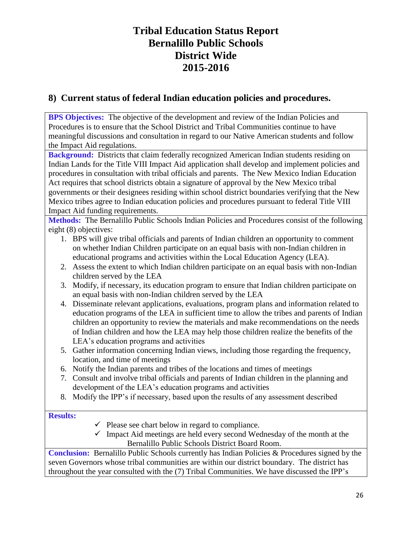## **8) Current status of federal Indian education policies and procedures.**

**BPS Objectives:** The objective of the development and review of the Indian Policies and Procedures is to ensure that the School District and Tribal Communities continue to have meaningful discussions and consultation in regard to our Native American students and follow the Impact Aid regulations.

**Background:** Districts that claim federally recognized American Indian students residing on Indian Lands for the Title VIII Impact Aid application shall develop and implement policies and procedures in consultation with tribal officials and parents. The New Mexico Indian Education Act requires that school districts obtain a signature of approval by the New Mexico tribal governments or their designees residing within school district boundaries verifying that the New Mexico tribes agree to Indian education policies and procedures pursuant to federal Title VIII Impact Aid funding requirements.

**Methods:** The Bernalillo Public Schools Indian Policies and Procedures consist of the following eight (8) objectives:

- 1. BPS will give tribal officials and parents of Indian children an opportunity to comment on whether Indian Children participate on an equal basis with non-Indian children in educational programs and activities within the Local Education Agency (LEA).
- 2. Assess the extent to which Indian children participate on an equal basis with non-Indian children served by the LEA
- 3. Modify, if necessary, its education program to ensure that Indian children participate on an equal basis with non-Indian children served by the LEA
- 4. Disseminate relevant applications, evaluations, program plans and information related to education programs of the LEA in sufficient time to allow the tribes and parents of Indian children an opportunity to review the materials and make recommendations on the needs of Indian children and how the LEA may help those children realize the benefits of the LEA's education programs and activities
- 5. Gather information concerning Indian views, including those regarding the frequency, location, and time of meetings
- 6. Notify the Indian parents and tribes of the locations and times of meetings
- 7. Consult and involve tribal officials and parents of Indian children in the planning and development of the LEA's education programs and activities
- 8. Modify the IPP's if necessary, based upon the results of any assessment described

### **Results:**

- $\checkmark$  Please see chart below in regard to compliance.
- $\checkmark$  Impact Aid meetings are held every second Wednesday of the month at the Bernalillo Public Schools District Board Room.

Conclusion: Bernalillo Public Schools currently has Indian Policies & Procedures signed by the seven Governors whose tribal communities are within our district boundary. The district has throughout the year consulted with the (7) Tribal Communities. We have discussed the IPP's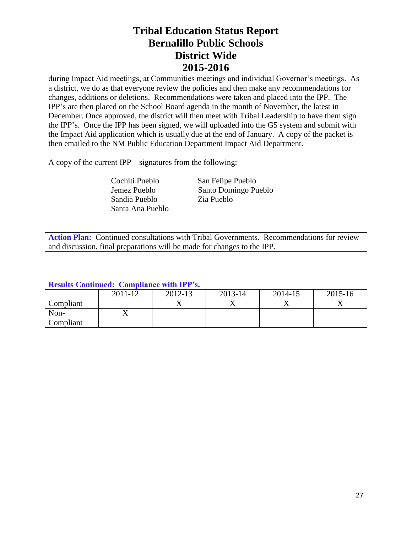during Impact Aid meetings, at Communities meetings and individual Governor's meetings. As a district, we do as that everyone review the policies and then make any recommendations for changes, additions or deletions. Recommendations were taken and placed into the IPP. The IPP's are then placed on the School Board agenda in the month of November, the latest in December. Once approved, the district will then meet with Tribal Leadership to have them sign the IPP's. Once the IPP has been signed, we will uploaded into the G5 system and submit with the Impact Aid application which is usually due at the end of January. A copy of the packet is then emailed to the NM Public Education Department Impact Aid Department.

A copy of the current IPP – signatures from the following:

 Sandia Pueblo Zia Pueblo Santa Ana Pueblo

 Cochiti Pueblo San Felipe Pueblo Jemez Pueblo Santo Domingo Pueblo

**Action Plan:** Continued consultations with Tribal Governments. Recommendations for review and discussion, final preparations will be made for changes to the IPP.

### **Results Continued: Compliance with IPP's.**

|           | 2011-12 | 2012-13 | 2013-14 | 2014-15 | 2015-16 |
|-----------|---------|---------|---------|---------|---------|
| Compliant |         |         |         |         |         |
| Non-      | ∡⊾      |         |         |         |         |
| Compliant |         |         |         |         |         |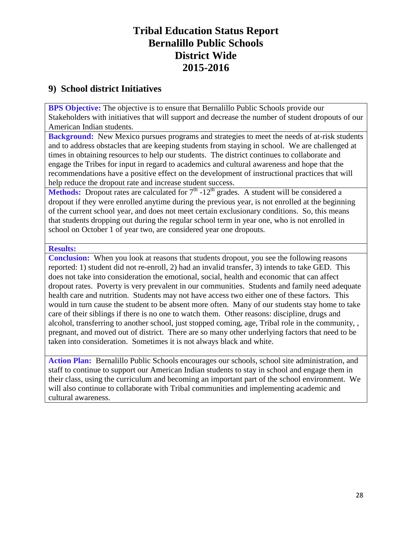## **9) School district Initiatives**

**BPS Objective:** The objective is to ensure that Bernalillo Public Schools provide our Stakeholders with initiatives that will support and decrease the number of student dropouts of our American Indian students.

**Background:** New Mexico pursues programs and strategies to meet the needs of at-risk students and to address obstacles that are keeping students from staying in school. We are challenged at times in obtaining resources to help our students. The district continues to collaborate and engage the Tribes for input in regard to academics and cultural awareness and hope that the recommendations have a positive effect on the development of instructional practices that will help reduce the dropout rate and increase student success.

**Methods:** Dropout rates are calculated for  $7<sup>th</sup>$  -12<sup>th</sup> grades. A student will be considered a dropout if they were enrolled anytime during the previous year, is not enrolled at the beginning of the current school year, and does not meet certain exclusionary conditions. So, this means that students dropping out during the regular school term in year one, who is not enrolled in school on October 1 of year two, are considered year one dropouts.

#### **Results:**

**Conclusion:** When you look at reasons that students dropout, you see the following reasons reported: 1) student did not re-enroll, 2) had an invalid transfer, 3) intends to take GED. This does not take into consideration the emotional, social, health and economic that can affect dropout rates. Poverty is very prevalent in our communities. Students and family need adequate health care and nutrition. Students may not have access two either one of these factors. This would in turn cause the student to be absent more often. Many of our students stay home to take care of their siblings if there is no one to watch them. Other reasons: discipline, drugs and alcohol, transferring to another school, just stopped coming, age, Tribal role in the community, , pregnant, and moved out of district. There are so many other underlying factors that need to be taken into consideration. Sometimes it is not always black and white.

**Action Plan:** Bernalillo Public Schools encourages our schools, school site administration, and staff to continue to support our American Indian students to stay in school and engage them in their class, using the curriculum and becoming an important part of the school environment. We will also continue to collaborate with Tribal communities and implementing academic and cultural awareness.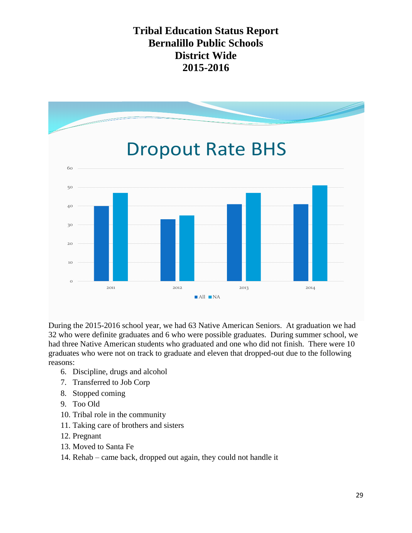

During the 2015-2016 school year, we had 63 Native American Seniors. At graduation we had 32 who were definite graduates and 6 who were possible graduates. During summer school, we had three Native American students who graduated and one who did not finish. There were 10 graduates who were not on track to graduate and eleven that dropped-out due to the following reasons:

- 6. Discipline, drugs and alcohol
- 7. Transferred to Job Corp
- 8. Stopped coming
- 9. Too Old
- 10. Tribal role in the community
- 11. Taking care of brothers and sisters
- 12. Pregnant
- 13. Moved to Santa Fe
- 14. Rehab came back, dropped out again, they could not handle it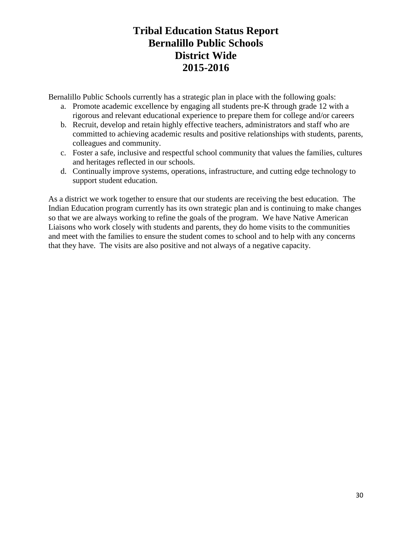Bernalillo Public Schools currently has a strategic plan in place with the following goals:

- a. Promote academic excellence by engaging all students pre-K through grade 12 with a rigorous and relevant educational experience to prepare them for college and/or careers
- b. Recruit, develop and retain highly effective teachers, administrators and staff who are committed to achieving academic results and positive relationships with students, parents, colleagues and community.
- c. Foster a safe, inclusive and respectful school community that values the families, cultures and heritages reflected in our schools.
- d. Continually improve systems, operations, infrastructure, and cutting edge technology to support student education.

As a district we work together to ensure that our students are receiving the best education. The Indian Education program currently has its own strategic plan and is continuing to make changes so that we are always working to refine the goals of the program. We have Native American Liaisons who work closely with students and parents, they do home visits to the communities and meet with the families to ensure the student comes to school and to help with any concerns that they have. The visits are also positive and not always of a negative capacity.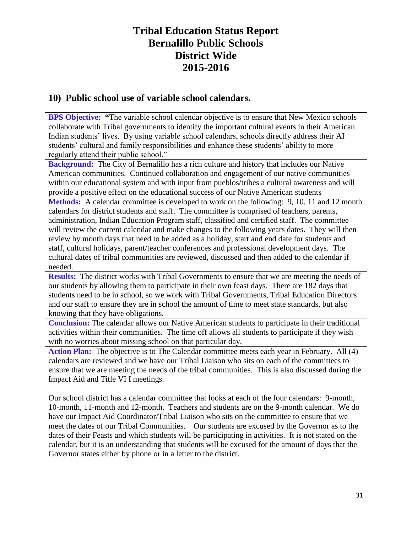### **10) Public school use of variable school calendars.**

**BPS Objective: "The variable school calendar objective is to ensure that New Mexico schools** collaborate with Tribal governments to identify the important cultural events in their American Indian students' lives. By using variable school calendars, schools directly address their AI students' cultural and family responsibilities and enhance these students' ability to more regularly attend their public school."

**Background:** The City of Bernalillo has a rich culture and history that includes our Native American communities. Continued collaboration and engagement of our native communities within our educational system and with input from pueblos/tribes a cultural awareness and will provide a positive effect on the educational success of our Native American students

**Methods:** A calendar committee is developed to work on the following: 9, 10, 11 and 12 month calendars for district students and staff. The committee is comprised of teachers, parents, administration, Indian Education Program staff, classified and certified staff. The committee will review the current calendar and make changes to the following years dates. They will then review by month days that need to be added as a holiday, start and end date for students and staff, cultural holidays, parent/teacher conferences and professional development days. The cultural dates of tribal communities are reviewed, discussed and then added to the calendar if needed.

**Results:** The district works with Tribal Governments to ensure that we are meeting the needs of our students by allowing them to participate in their own feast days. There are 182 days that students need to be in school, so we work with Tribal Governments, Tribal Education Directors and our staff to ensure they are in school the amount of time to meet state standards, but also knowing that they have obligations.

**Conclusion:** The calendar allows our Native American students to participate in their traditional activities within their communities. The time off allows all students to participate if they wish with no worries about missing school on that particular day.

**Action Plan:** The objective is to The Calendar committee meets each year in February. All (4) calendars are reviewed and we have our Tribal Liaison who sits on each of the committees to ensure that we are meeting the needs of the tribal communities. This is also discussed during the Impact Aid and Title VI I meetings.

Our school district has a calendar committee that looks at each of the four calendars: 9-month, 10-month, 11-month and 12-month. Teachers and students are on the 9-month calendar. We do have our Impact Aid Coordinator/Tribal Liaison who sits on the committee to ensure that we meet the dates of our Tribal Communities. Our students are excused by the Governor as to the dates of their Feasts and which students will be participating in activities. It is not stated on the calendar, but it is an understanding that students will be excused for the amount of days that the Governor states either by phone or in a letter to the district.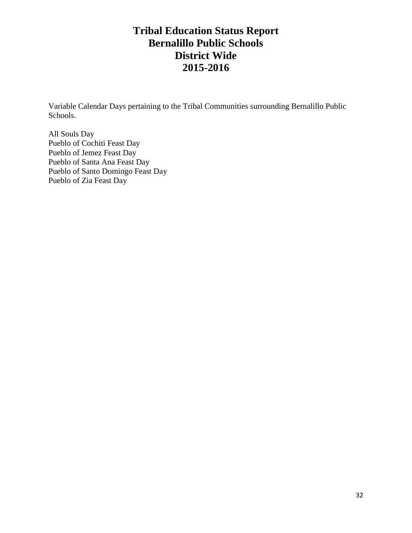Variable Calendar Days pertaining to the Tribal Communities surrounding Bernalillo Public Schools.

All Souls Day Pueblo of Cochiti Feast Day Pueblo of Jemez Feast Day Pueblo of Santa Ana Feast Day Pueblo of Santo Domingo Feast Day Pueblo of Zia Feast Day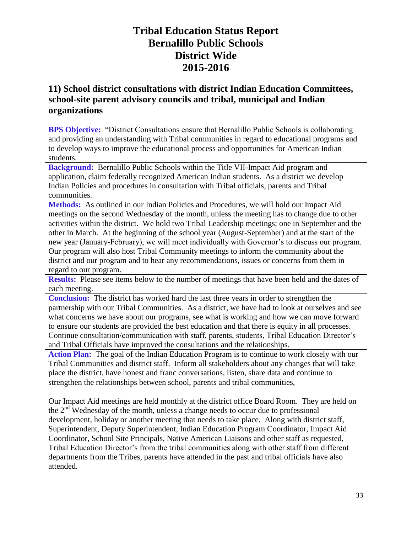## **11) School district consultations with district Indian Education Committees, school-site parent advisory councils and tribal, municipal and Indian organizations**

**BPS Objective:** "District Consultations ensure that Bernalillo Public Schools is collaborating and providing an understanding with Tribal communities in regard to educational programs and to develop ways to improve the educational process and opportunities for American Indian students.

**Background:** Bernalillo Public Schools within the Title VII-Impact Aid program and application, claim federally recognized American Indian students. As a district we develop Indian Policies and procedures in consultation with Tribal officials, parents and Tribal communities.

**Methods:** As outlined in our Indian Policies and Procedures, we will hold our Impact Aid meetings on the second Wednesday of the month, unless the meeting has to change due to other activities within the district. We hold two Tribal Leadership meetings; one in September and the other in March. At the beginning of the school year (August-September) and at the start of the new year (January-February), we will meet individually with Governor's to discuss our program. Our program will also host Tribal Community meetings to inform the community about the district and our program and to hear any recommendations, issues or concerns from them in regard to our program.

**Results:** Please see items below to the number of meetings that have been held and the dates of each meeting.

**Conclusion:** The district has worked hard the last three years in order to strengthen the partnership with our Tribal Communities. As a district, we have had to look at ourselves and see what concerns we have about our programs, see what is working and how we can move forward to ensure our students are provided the best education and that there is equity in all processes. Continue consultation/communication with staff, parents, students, Tribal Education Director's and Tribal Officials have improved the consultations and the relationships.

**Action Plan:** The goal of the Indian Education Program is to continue to work closely with our Tribal Communities and district staff.Inform all stakeholders about any changes that will take place the district, have honest and franc conversations, listen, share data and continue to strengthen the relationships between school, parents and tribal communities,

Our Impact Aid meetings are held monthly at the district office Board Room. They are held on the  $2<sup>nd</sup>$  Wednesday of the month, unless a change needs to occur due to professional development, holiday or another meeting that needs to take place. Along with district staff, Superintendent, Deputy Superintendent, Indian Education Program Coordinator, Impact Aid Coordinator, School Site Principals, Native American Liaisons and other staff as requested, Tribal Education Director's from the tribal communities along with other staff from different departments from the Tribes, parents have attended in the past and tribal officials have also attended.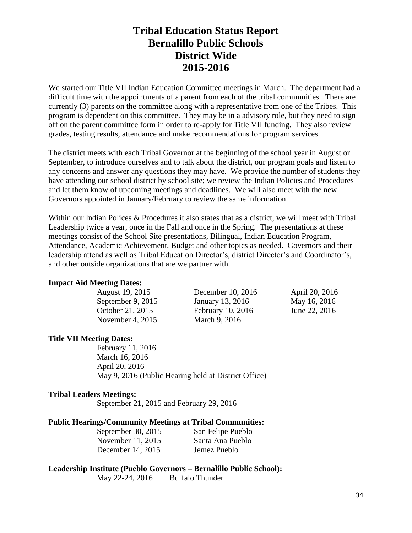We started our Title VII Indian Education Committee meetings in March. The department had a difficult time with the appointments of a parent from each of the tribal communities. There are currently (3) parents on the committee along with a representative from one of the Tribes. This program is dependent on this committee. They may be in a advisory role, but they need to sign off on the parent committee form in order to re-apply for Title VII funding. They also review grades, testing results, attendance and make recommendations for program services.

The district meets with each Tribal Governor at the beginning of the school year in August or September, to introduce ourselves and to talk about the district, our program goals and listen to any concerns and answer any questions they may have. We provide the number of students they have attending our school district by school site; we review the Indian Policies and Procedures and let them know of upcoming meetings and deadlines. We will also meet with the new Governors appointed in January/February to review the same information.

Within our Indian Polices & Procedures it also states that as a district, we will meet with Tribal Leadership twice a year, once in the Fall and once in the Spring. The presentations at these meetings consist of the School Site presentations, Bilingual, Indian Education Program, Attendance, Academic Achievement, Budget and other topics as needed. Governors and their leadership attend as well as Tribal Education Director's, district Director's and Coordinator's, and other outside organizations that are we partner with.

#### **Impact Aid Meeting Dates:**

| August 19, 2015    | December 10, 2016 | April 20, 2016 |
|--------------------|-------------------|----------------|
| September 9, 2015  | January 13, 2016  | May 16, 2016   |
| October 21, 2015   | February 10, 2016 | June 22, 2016  |
| November 4, $2015$ | March 9, 2016     |                |

#### **Title VII Meeting Dates:**

February 11, 2016 March 16, 2016 April 20, 2016 May 9, 2016 (Public Hearing held at District Office)

#### **Tribal Leaders Meetings:**

September 21, 2015 and February 29, 2016

#### **Public Hearings/Community Meetings at Tribal Communities:**

| September 30, 2015 | San Felipe Pueblo |
|--------------------|-------------------|
| November 11, 2015  | Santa Ana Pueblo  |
| December 14, 2015  | Jemez Pueblo      |

### **Leadership Institute (Pueblo Governors – Bernalillo Public School):**

May 22-24, 2016 Buffalo Thunder